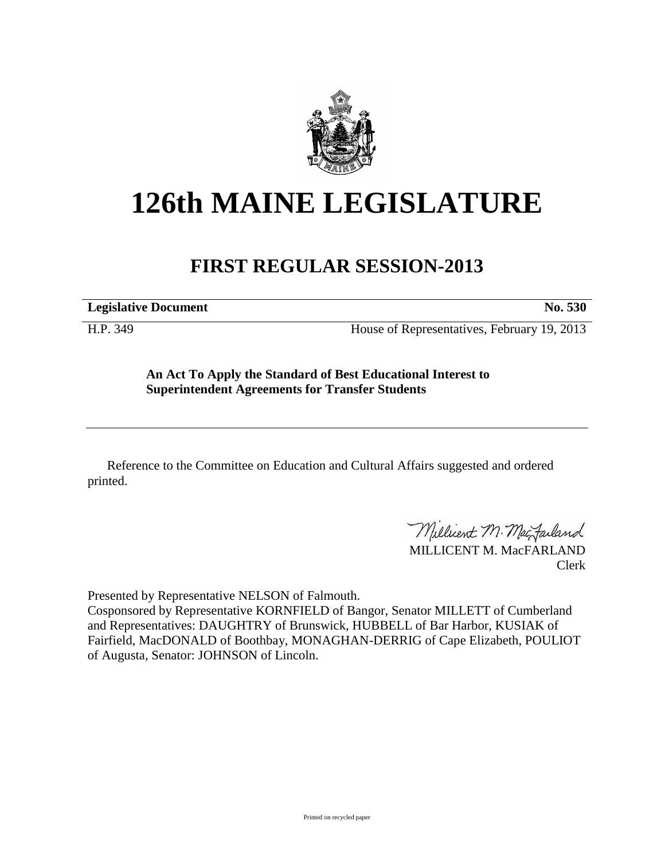

## **126th MAINE LEGISLATURE**

## **FIRST REGULAR SESSION-2013**

**Legislative Document No. 530**

H.P. 349 House of Representatives, February 19, 2013

**An Act To Apply the Standard of Best Educational Interest to Superintendent Agreements for Transfer Students**

Reference to the Committee on Education and Cultural Affairs suggested and ordered printed.

Millicent M. Mac Failand

MILLICENT M. MacFARLAND Clerk

Presented by Representative NELSON of Falmouth.

Cosponsored by Representative KORNFIELD of Bangor, Senator MILLETT of Cumberland and Representatives: DAUGHTRY of Brunswick, HUBBELL of Bar Harbor, KUSIAK of Fairfield, MacDONALD of Boothbay, MONAGHAN-DERRIG of Cape Elizabeth, POULIOT of Augusta, Senator: JOHNSON of Lincoln.